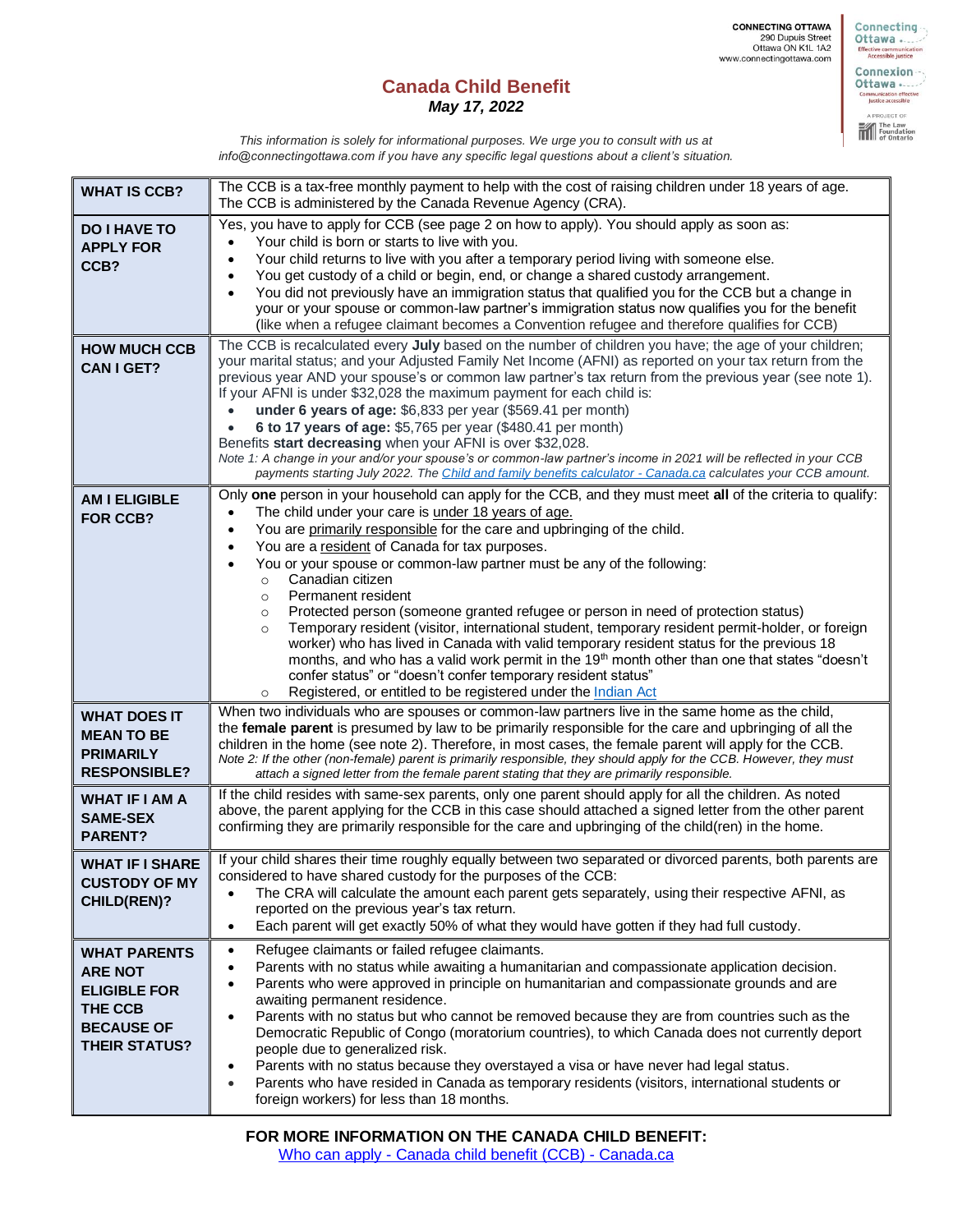**CONNECTING OTTAWA**<br>290 Dupuis Street<br>Ottawa ON K1L 1A2<br>www.connectingottawa.com

## **Canada Child Benefit** *May 17, 2022*

Connexion --Ottawa .... mmunication effective<br>Justice accessible A PROJECT OF The Law<br>Foundation

Connecting Effective communi<br>Accessible just

*This information is solely for informational purposes. We urge you to consult with us at info@connectingottawa.com if you have any specific legal questions about a client's situation.*

| <b>WHAT IS CCB?</b>                                                                                                  | The CCB is a tax-free monthly payment to help with the cost of raising children under 18 years of age.<br>The CCB is administered by the Canada Revenue Agency (CRA).                                                                                                                                                                                                                                                                                                                                                                                                                                                                                                                                                                                                                                                                                                                                                                                                                                                                                |
|----------------------------------------------------------------------------------------------------------------------|------------------------------------------------------------------------------------------------------------------------------------------------------------------------------------------------------------------------------------------------------------------------------------------------------------------------------------------------------------------------------------------------------------------------------------------------------------------------------------------------------------------------------------------------------------------------------------------------------------------------------------------------------------------------------------------------------------------------------------------------------------------------------------------------------------------------------------------------------------------------------------------------------------------------------------------------------------------------------------------------------------------------------------------------------|
| <b>DO I HAVE TO</b><br><b>APPLY FOR</b><br>CCB?                                                                      | Yes, you have to apply for CCB (see page 2 on how to apply). You should apply as soon as:<br>Your child is born or starts to live with you.<br>$\bullet$<br>Your child returns to live with you after a temporary period living with someone else.<br>$\bullet$<br>You get custody of a child or begin, end, or change a shared custody arrangement.<br>$\bullet$<br>You did not previously have an immigration status that qualified you for the CCB but a change in<br>$\bullet$<br>your or your spouse or common-law partner's immigration status now qualifies you for the benefit<br>(like when a refugee claimant becomes a Convention refugee and therefore qualifies for CCB)                                                                                                                                                                                                                                                                                                                                                                |
| <b>HOW MUCH CCB</b><br><b>CAN I GET?</b>                                                                             | The CCB is recalculated every July based on the number of children you have; the age of your children;<br>your marital status; and your Adjusted Family Net Income (AFNI) as reported on your tax return from the<br>previous year AND your spouse's or common law partner's tax return from the previous year (see note 1).<br>If your AFNI is under \$32,028 the maximum payment for each child is:<br>under 6 years of age: \$6,833 per year (\$569.41 per month)<br>6 to 17 years of age: \$5,765 per year (\$480.41 per month)<br>Benefits start decreasing when your AFNI is over \$32,028.<br>Note 1: A change in your and/or your spouse's or common-law partner's income in 2021 will be reflected in your CCB<br>payments starting July 2022. The Child and family benefits calculator - Canada.ca calculates your CCB amount.                                                                                                                                                                                                             |
| <b>AM I ELIGIBLE</b><br><b>FOR CCB?</b>                                                                              | Only one person in your household can apply for the CCB, and they must meet all of the criteria to qualify:<br>The child under your care is under 18 years of age.<br>$\bullet$<br>You are primarily responsible for the care and upbringing of the child.<br>$\bullet$<br>You are a resident of Canada for tax purposes.<br>$\bullet$<br>You or your spouse or common-law partner must be any of the following:<br>Canadian citizen<br>$\circ$<br>Permanent resident<br>$\circ$<br>Protected person (someone granted refugee or person in need of protection status)<br>$\circ$<br>Temporary resident (visitor, international student, temporary resident permit-holder, or foreign<br>$\circ$<br>worker) who has lived in Canada with valid temporary resident status for the previous 18<br>months, and who has a valid work permit in the 19 <sup>th</sup> month other than one that states "doesn't<br>confer status" or "doesn't confer temporary resident status"<br>Registered, or entitled to be registered under the Indian Act<br>$\circ$ |
| <b>WHAT DOES IT</b><br><b>MEAN TO BE</b><br><b>PRIMARILY</b><br><b>RESPONSIBLE?</b>                                  | When two individuals who are spouses or common-law partners live in the same home as the child,<br>the female parent is presumed by law to be primarily responsible for the care and upbringing of all the<br>children in the home (see note 2). Therefore, in most cases, the female parent will apply for the CCB.<br>Note 2: If the other (non-female) parent is primarily responsible, they should apply for the CCB. However, they must<br>attach a signed letter from the female parent stating that they are primarily responsible.                                                                                                                                                                                                                                                                                                                                                                                                                                                                                                           |
| <b>WHAT IF I AM A</b><br><b>SAME-SEX</b><br><b>PARENT?</b>                                                           | If the child resides with same-sex parents, only one parent should apply for all the children. As noted<br>above, the parent applying for the CCB in this case should attached a signed letter from the other parent<br>confirming they are primarily responsible for the care and upbringing of the child(ren) in the home.                                                                                                                                                                                                                                                                                                                                                                                                                                                                                                                                                                                                                                                                                                                         |
| <b>WHAT IF I SHARE</b><br><b>CUSTODY OF MY</b><br><b>CHILD(REN)?</b>                                                 | If your child shares their time roughly equally between two separated or divorced parents, both parents are<br>considered to have shared custody for the purposes of the CCB:<br>The CRA will calculate the amount each parent gets separately, using their respective AFNI, as<br>$\bullet$<br>reported on the previous year's tax return.<br>Each parent will get exactly 50% of what they would have gotten if they had full custody.<br>$\bullet$                                                                                                                                                                                                                                                                                                                                                                                                                                                                                                                                                                                                |
| <b>WHAT PARENTS</b><br><b>ARE NOT</b><br><b>ELIGIBLE FOR</b><br>THE CCB<br><b>BECAUSE OF</b><br><b>THEIR STATUS?</b> | Refugee claimants or failed refugee claimants.<br>$\bullet$<br>Parents with no status while awaiting a humanitarian and compassionate application decision.<br>$\bullet$<br>Parents who were approved in principle on humanitarian and compassionate grounds and are<br>$\bullet$<br>awaiting permanent residence.<br>Parents with no status but who cannot be removed because they are from countries such as the<br>$\bullet$<br>Democratic Republic of Congo (moratorium countries), to which Canada does not currently deport<br>people due to generalized risk.<br>Parents with no status because they overstayed a visa or have never had legal status.<br>$\bullet$<br>Parents who have resided in Canada as temporary residents (visitors, international students or<br>$\bullet$<br>foreign workers) for less than 18 months.                                                                                                                                                                                                               |